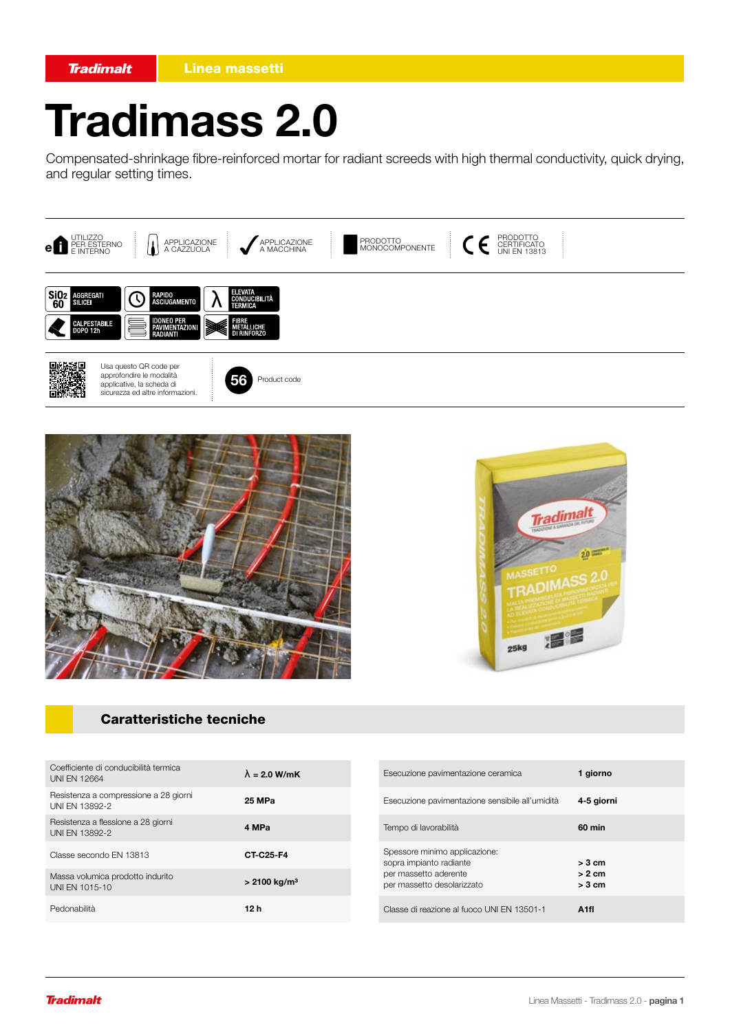# Tradimass 2.0

Compensated-shrinkage fibre-reinforced mortar for radiant screeds with high thermal conductivity, quick drying, and regular setting times.







### Caratteristiche tecniche

| Coefficiente di conducibilità termica<br><b>UNI EN 12664</b> | $\lambda = 2.0$ W/mK       |
|--------------------------------------------------------------|----------------------------|
| Resistenza a compressione a 28 giorni<br>UNI EN 13892-2      | 25 MPa                     |
| Resistenza a flessione a 28 giorni<br>UNI EN 13892-2         | 4 MPa                      |
| Classe secondo EN 13813                                      | CT-C25-F4                  |
| Massa volumica prodotto indurito<br>UNI EN 1015-10           | $> 2100$ kg/m <sup>3</sup> |
| Pedonabilità                                                 | 12 h                       |

| Esecuzione pavimentazione ceramica                                                                              | 1 giorno                         |
|-----------------------------------------------------------------------------------------------------------------|----------------------------------|
| Esecuzione pavimentazione sensibile all'umidità                                                                 | 4-5 giorni                       |
| Tempo di lavorabilità                                                                                           | 60 min                           |
| Spessore minimo applicazione:<br>sopra impianto radiante<br>per massetto aderente<br>per massetto desolarizzato | $>$ 3 cm<br>$> 2$ cm<br>$>$ 3 cm |
| Classe di reazione al fuoco UNI EN 13501-1                                                                      | Δ1fl                             |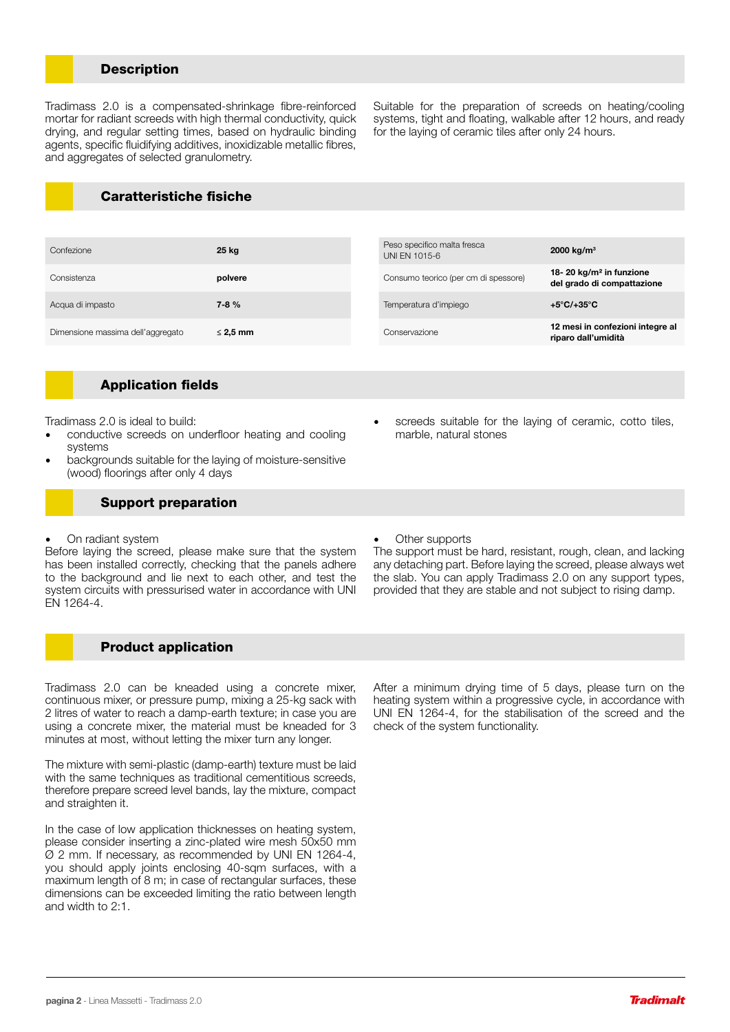#### **Description**

Tradimass 2.0 is a compensated-shrinkage fibre-reinforced mortar for radiant screeds with high thermal conductivity, quick drying, and regular setting times, based on hydraulic binding agents, specific fluidifying additives, inoxidizable metallic fibres, and aggregates of selected granulometry.

Caratteristiche fisiche

| Confezione                        | 25 kg         | Peso specifico malta fresca<br>UNI EN 1015-6 | 2000 kg/m <sup>3</sup>                                            |
|-----------------------------------|---------------|----------------------------------------------|-------------------------------------------------------------------|
| Consistenza                       | polvere       | Consumo teorico (per cm di spessore)         | 18-20 kg/m <sup>2</sup> in funzione<br>del grado di compattazione |
| Acqua di impasto                  | $7 - 8 \%$    | Temperatura d'impiego                        | $+5^{\circ}$ C/+35 $^{\circ}$ C                                   |
| Dimensione massima dell'aggregato | $\leq$ 2.5 mm | Conservazione                                | 12 mesi in confezioni integre al<br>riparo dall'umidità           |

#### Application fields

Tradimass 2.0 is ideal to build:

- conductive screeds on underfloor heating and cooling systems
- backgrounds suitable for the laying of moisture-sensitive (wood) floorings after only 4 days

#### Support preparation

• On radiant system

Before laying the screed, please make sure that the system has been installed correctly, checking that the panels adhere to the background and lie next to each other, and test the system circuits with pressurised water in accordance with UNI EN 1264-4.

Product application

Tradimass 2.0 can be kneaded using a concrete mixer, continuous mixer, or pressure pump, mixing a 25-kg sack with 2 litres of water to reach a damp-earth texture; in case you are using a concrete mixer, the material must be kneaded for 3 minutes at most, without letting the mixer turn any longer.

The mixture with semi-plastic (damp-earth) texture must be laid with the same techniques as traditional cementitious screeds, therefore prepare screed level bands, lay the mixture, compact and straighten it.

In the case of low application thicknesses on heating system, please consider inserting a zinc-plated wire mesh 50x50 mm Ø 2 mm. If necessary, as recommended by UNI EN 1264-4, you should apply joints enclosing 40-sqm surfaces, with a maximum length of 8 m; in case of rectangular surfaces, these dimensions can be exceeded limiting the ratio between length and width to 2:1.

screeds suitable for the laying of ceramic, cotto tiles, marble, natural stones

Suitable for the preparation of screeds on heating/cooling systems, tight and floating, walkable after 12 hours, and ready

for the laying of ceramic tiles after only 24 hours.

Other supports

The support must be hard, resistant, rough, clean, and lacking any detaching part. Before laying the screed, please always wet the slab. You can apply Tradimass 2.0 on any support types, provided that they are stable and not subject to rising damp.

After a minimum drying time of 5 days, please turn on the heating system within a progressive cycle, in accordance with UNI EN 1264-4, for the stabilisation of the screed and the check of the system functionality.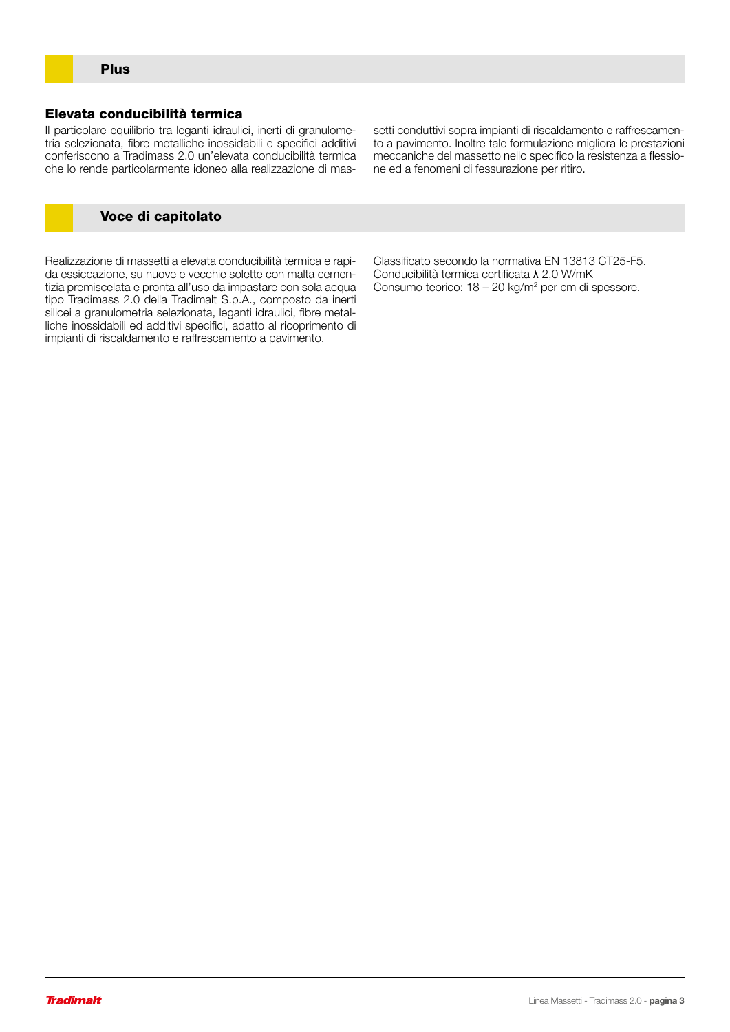#### Elevata conducibilità termica

Il particolare equilibrio tra leganti idraulici, inerti di granulometria selezionata, fibre metalliche inossidabili e specifici additivi conferiscono a Tradimass 2.0 un'elevata conducibilità termica che lo rende particolarmente idoneo alla realizzazione di massetti conduttivi sopra impianti di riscaldamento e raffrescamento a pavimento. Inoltre tale formulazione migliora le prestazioni meccaniche del massetto nello specifico la resistenza a flessione ed a fenomeni di fessurazione per ritiro.

#### Voce di capitolato

Realizzazione di massetti a elevata conducibilità termica e rapida essiccazione, su nuove e vecchie solette con malta cementizia premiscelata e pronta all'uso da impastare con sola acqua tipo Tradimass 2.0 della Tradimalt S.p.A., composto da inerti silicei a granulometria selezionata, leganti idraulici, fibre metalliche inossidabili ed additivi specifici, adatto al ricoprimento di impianti di riscaldamento e raffrescamento a pavimento.

Classificato secondo la normativa EN 13813 CT25-F5. Conducibilità termica certificata λ 2,0 W/mK Consumo teorico: 18 - 20 kg/m<sup>2</sup> per cm di spessore.